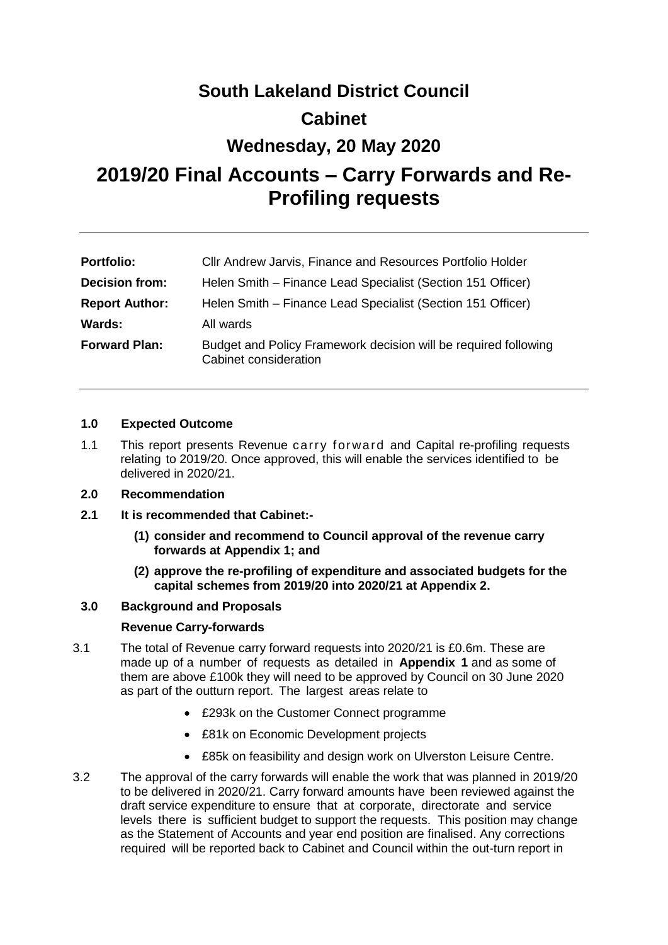# **South Lakeland District Council Cabinet**

## **Wednesday, 20 May 2020**

## **2019/20 Final Accounts – Carry Forwards and Re-Profiling requests**

| <b>Portfolio:</b>     | Cllr Andrew Jarvis, Finance and Resources Portfolio Holder                               |
|-----------------------|------------------------------------------------------------------------------------------|
| <b>Decision from:</b> | Helen Smith - Finance Lead Specialist (Section 151 Officer)                              |
| <b>Report Author:</b> | Helen Smith – Finance Lead Specialist (Section 151 Officer)                              |
| <b>Wards:</b>         | All wards                                                                                |
| <b>Forward Plan:</b>  | Budget and Policy Framework decision will be required following<br>Cabinet consideration |

## **1.0 Expected Outcome**

1.1 This report presents Revenue carry forward and Capital re-profiling requests relating to 2019/20. Once approved, this will enable the services identified to be delivered in 2020/21.

## **2.0 Recommendation**

- **2.1 It is recommended that Cabinet:-**
	- **(1) consider and recommend to Council approval of the revenue carry forwards at Appendix 1; and**
	- **(2) approve the re-profiling of expenditure and associated budgets for the capital schemes from 2019/20 into 2020/21 at Appendix 2.**

## **3.0 Background and Proposals**

## **Revenue Carry-forwards**

- 3.1 The total of Revenue carry forward requests into 2020/21 is £0.6m. These are made up of a number of requests as detailed in **Appendix 1** and as some of them are above £100k they will need to be approved by Council on 30 June 2020 as part of the outturn report. The largest areas relate to
	- £293k on the Customer Connect programme
	- £81k on Economic Development projects
	- £85k on feasibility and design work on Ulverston Leisure Centre.
- 3.2 The approval of the carry forwards will enable the work that was planned in 2019/20 to be delivered in 2020/21. Carry forward amounts have been reviewed against the draft service expenditure to ensure that at corporate, directorate and service levels there is sufficient budget to support the requests. This position may change as the Statement of Accounts and year end position are finalised. Any corrections required will be reported back to Cabinet and Council within the out-turn report in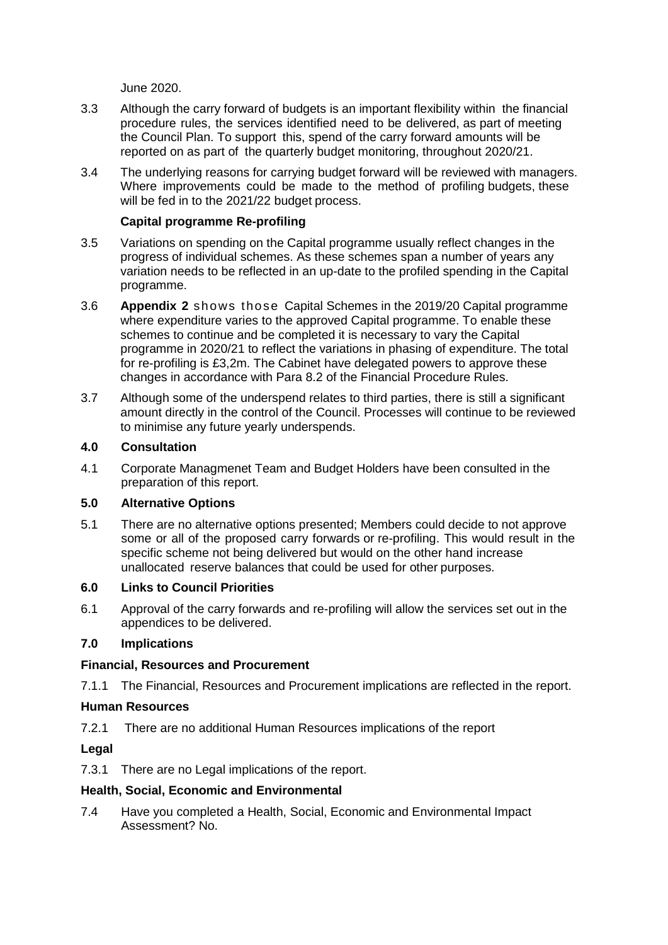June 2020.

- 3.3 Although the carry forward of budgets is an important flexibility within the financial procedure rules, the services identified need to be delivered, as part of meeting the Council Plan. To support this, spend of the carry forward amounts will be reported on as part of the quarterly budget monitoring, throughout 2020/21.
- 3.4 The underlying reasons for carrying budget forward will be reviewed with managers. Where improvements could be made to the method of profiling budgets, these will be fed in to the 2021/22 budget process.

## **Capital programme Re-profiling**

- 3.5 Variations on spending on the Capital programme usually reflect changes in the progress of individual schemes. As these schemes span a number of years any variation needs to be reflected in an up-date to the profiled spending in the Capital programme.
- 3.6 **Appendix 2** shows those Capital Schemes in the 2019/20 Capital programme where expenditure varies to the approved Capital programme. To enable these schemes to continue and be completed it is necessary to vary the Capital programme in 2020/21 to reflect the variations in phasing of expenditure. The total for re-profiling is £3,2m. The Cabinet have delegated powers to approve these changes in accordance with Para 8.2 of the Financial Procedure Rules.
- 3.7 Although some of the underspend relates to third parties, there is still a significant amount directly in the control of the Council. Processes will continue to be reviewed to minimise any future yearly underspends.

## **4.0 Consultation**

4.1 Corporate Managmenet Team and Budget Holders have been consulted in the preparation of this report.

## **5.0 Alternative Options**

5.1 There are no alternative options presented; Members could decide to not approve some or all of the proposed carry forwards or re-profiling. This would result in the specific scheme not being delivered but would on the other hand increase unallocated reserve balances that could be used for other purposes.

## **6.0 Links to Council Priorities**

6.1 Approval of the carry forwards and re-profiling will allow the services set out in the appendices to be delivered.

## **7.0 Implications**

## **Financial, Resources and Procurement**

7.1.1 The Financial, Resources and Procurement implications are reflected in the report.

## **Human Resources**

7.2.1 There are no additional Human Resources implications of the report

## **Legal**

7.3.1 There are no Legal implications of the report.

## **Health, Social, Economic and Environmental**

7.4 Have you completed a Health, Social, Economic and Environmental Impact Assessment? No.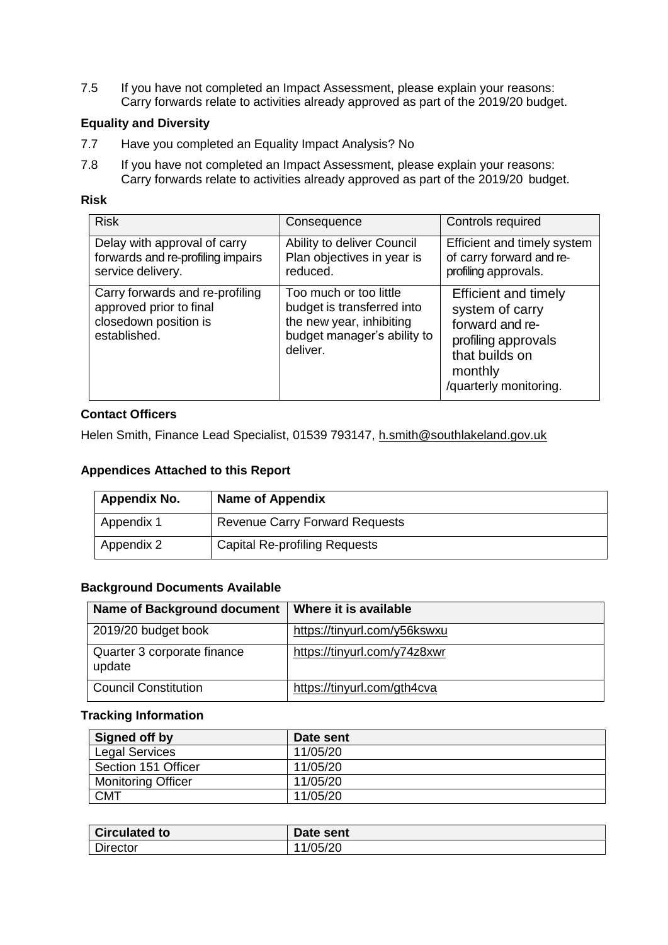7.5 If you have not completed an Impact Assessment, please explain your reasons: Carry forwards relate to activities already approved as part of the 2019/20 budget.

## **Equality and Diversity**

- 7.7 Have you completed an Equality Impact Analysis? No
- 7.8 If you have not completed an Impact Assessment, please explain your reasons: Carry forwards relate to activities already approved as part of the 2019/20 budget.

### **Risk**

| <b>Risk</b>                                                                                         | Consequence                                                                                                                 | Controls required                                                                                                                               |  |  |
|-----------------------------------------------------------------------------------------------------|-----------------------------------------------------------------------------------------------------------------------------|-------------------------------------------------------------------------------------------------------------------------------------------------|--|--|
| Delay with approval of carry<br>forwards and re-profiling impairs<br>service delivery.              | Ability to deliver Council<br>Plan objectives in year is<br>reduced.                                                        | Efficient and timely system<br>of carry forward and re-<br>profiling approvals.                                                                 |  |  |
| Carry forwards and re-profiling<br>approved prior to final<br>closedown position is<br>established. | Too much or too little<br>budget is transferred into<br>the new year, inhibiting<br>budget manager's ability to<br>deliver. | <b>Efficient and timely</b><br>system of carry<br>forward and re-<br>profiling approvals<br>that builds on<br>monthly<br>/quarterly monitoring. |  |  |

## **Contact Officers**

Helen Smith, Finance Lead Specialist, 01539 793147, [h.smith@southlakeland.gov.uk](mailto:h.smith@southlakeland.gov.uk)

## **Appendices Attached to this Report**

| <b>Appendix No.</b> | <b>Name of Appendix</b>               |
|---------------------|---------------------------------------|
| Appendix 1          | <b>Revenue Carry Forward Requests</b> |
| Appendix 2          | <b>Capital Re-profiling Requests</b>  |

### **Background Documents Available**

| Name of Background document           | Where it is available        |
|---------------------------------------|------------------------------|
| 2019/20 budget book                   | https://tinyurl.com/y56kswxu |
| Quarter 3 corporate finance<br>update | https://tinyurl.com/y74z8xwr |
| <b>Council Constitution</b>           | https://tinyurl.com/gth4cva  |

#### **Tracking Information**

| Signed off by             | Date sent |
|---------------------------|-----------|
| <b>Legal Services</b>     | 11/05/20  |
| Section 151 Officer       | 11/05/20  |
| <b>Monitoring Officer</b> | 11/05/20  |
| <b>CMT</b>                | 11/05/20  |

| <b>Circulated to</b> | Date sent |
|----------------------|-----------|
| <b>Director</b>      | /05/20    |